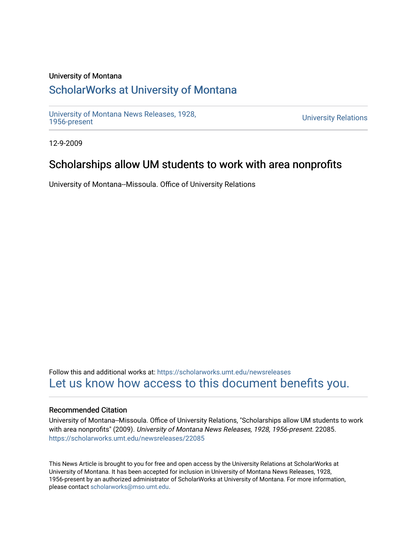### University of Montana

## [ScholarWorks at University of Montana](https://scholarworks.umt.edu/)

[University of Montana News Releases, 1928,](https://scholarworks.umt.edu/newsreleases) 

**University Relations** 

12-9-2009

### Scholarships allow UM students to work with area nonprofits

University of Montana--Missoula. Office of University Relations

Follow this and additional works at: [https://scholarworks.umt.edu/newsreleases](https://scholarworks.umt.edu/newsreleases?utm_source=scholarworks.umt.edu%2Fnewsreleases%2F22085&utm_medium=PDF&utm_campaign=PDFCoverPages) [Let us know how access to this document benefits you.](https://goo.gl/forms/s2rGfXOLzz71qgsB2) 

#### Recommended Citation

University of Montana--Missoula. Office of University Relations, "Scholarships allow UM students to work with area nonprofits" (2009). University of Montana News Releases, 1928, 1956-present. 22085. [https://scholarworks.umt.edu/newsreleases/22085](https://scholarworks.umt.edu/newsreleases/22085?utm_source=scholarworks.umt.edu%2Fnewsreleases%2F22085&utm_medium=PDF&utm_campaign=PDFCoverPages) 

This News Article is brought to you for free and open access by the University Relations at ScholarWorks at University of Montana. It has been accepted for inclusion in University of Montana News Releases, 1928, 1956-present by an authorized administrator of ScholarWorks at University of Montana. For more information, please contact [scholarworks@mso.umt.edu.](mailto:scholarworks@mso.umt.edu)